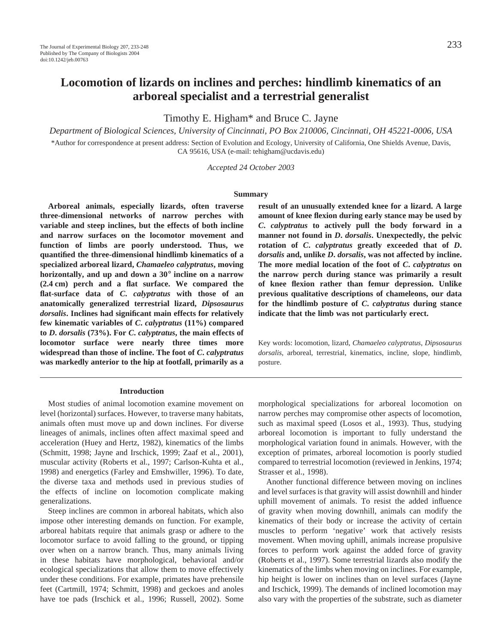Timothy E. Higham\* and Bruce C. Jayne

*Department of Biological Sciences, University of Cincinnati, PO Box 210006, Cincinnati, OH 45221-0006, USA*

\*Author for correspondence at present address: Section of Evolution and Ecology, University of California, One Shields Avenue, Davis, CA 95616, USA (e-mail: tehigham@ucdavis.edu)

*Accepted 24 October 2003*

### **Summary**

**Arboreal animals, especially lizards, often traverse three-dimensional networks of narrow perches with variable and steep inclines, but the effects of both incline and narrow surfaces on the locomotor movement and function of limbs are poorly understood. Thus, we quantified the three-dimensional hindlimb kinematics of a specialized arboreal lizard,** *Chamaeleo calyptratus***, moving horizontally, and up and down a 30**° **incline on a narrow (2.4·cm) perch and a flat surface. We compared the flat-surface data of** *C***.** *calyptratus* **with those of an anatomically generalized terrestrial lizard,** *Dipsosaurus dorsalis***. Inclines had significant main effects for relatively few kinematic variables of** *C***.** *calyptratus* **(11%) compared to** *D***.** *dorsalis* **(73%). For** *C***.** *calyptratus***, the main effects of locomotor surface were nearly three times more widespread than those of incline. The foot of** *C***.** *calyptratus* **was markedly anterior to the hip at footfall, primarily as a**

### **Introduction**

Most studies of animal locomotion examine movement on level (horizontal) surfaces. However, to traverse many habitats, animals often must move up and down inclines. For diverse lineages of animals, inclines often affect maximal speed and acceleration (Huey and Hertz, 1982), kinematics of the limbs (Schmitt, 1998; Jayne and Irschick, 1999; Zaaf et al., 2001), muscular activity (Roberts et al., 1997; Carlson-Kuhta et al., 1998) and energetics (Farley and Emshwiller, 1996). To date, the diverse taxa and methods used in previous studies of the effects of incline on locomotion complicate making generalizations.

Steep inclines are common in arboreal habitats, which also impose other interesting demands on function. For example, arboreal habitats require that animals grasp or adhere to the locomotor surface to avoid falling to the ground, or tipping over when on a narrow branch. Thus, many animals living in these habitats have morphological, behavioral and/or ecological specializations that allow them to move effectively under these conditions. For example, primates have prehensile feet (Cartmill, 1974; Schmitt, 1998) and geckoes and anoles have toe pads (Irschick et al., 1996; Russell, 2002). Some

**result of an unusually extended knee for a lizard. A large amount of knee flexion during early stance may be used by** *C***.** *calyptratus* **to actively pull the body forward in a manner not found in** *D***.** *dorsalis***. Unexpectedly, the pelvic rotation of** *C***.** *calyptratus* **greatly exceeded that of** *D***.** *dorsalis* **and, unlike** *D***.** *dorsalis***, was not affected by incline. The more medial location of the foot of** *C***.** *calyptratus* **on the narrow perch during stance was primarily a result of knee flexion rather than femur depression. Unlike previous qualitative descriptions of chameleons, our data for the hindlimb posture of** *C***.** *calyptratus* **during stance indicate that the limb was not particularly erect.** 

Key words: locomotion, lizard, *Chamaeleo calyptratus*, *Dipsosaurus dorsalis*, arboreal, terrestrial, kinematics, incline, slope, hindlimb, posture.

morphological specializations for arboreal locomotion on narrow perches may compromise other aspects of locomotion, such as maximal speed (Losos et al., 1993). Thus, studying arboreal locomotion is important to fully understand the morphological variation found in animals. However, with the exception of primates, arboreal locomotion is poorly studied compared to terrestrial locomotion (reviewed in Jenkins, 1974; Strasser et al., 1998).

Another functional difference between moving on inclines and level surfaces is that gravity will assist downhill and hinder uphill movement of animals. To resist the added influence of gravity when moving downhill, animals can modify the kinematics of their body or increase the activity of certain muscles to perform 'negative' work that actively resists movement. When moving uphill, animals increase propulsive forces to perform work against the added force of gravity (Roberts et al., 1997). Some terrestrial lizards also modify the kinematics of the limbs when moving on inclines. For example, hip height is lower on inclines than on level surfaces (Jayne and Irschick, 1999). The demands of inclined locomotion may also vary with the properties of the substrate, such as diameter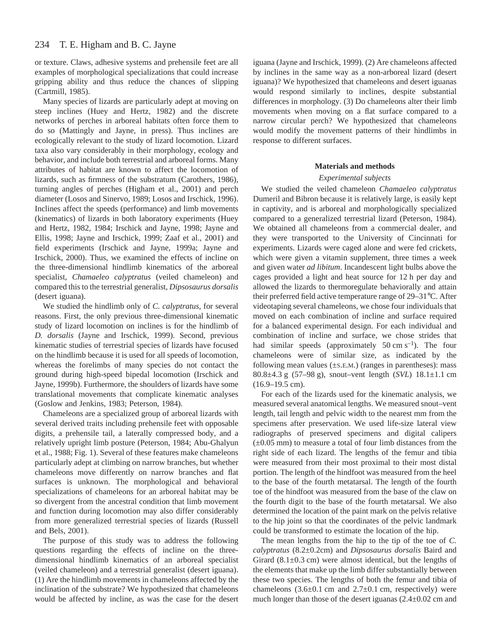or texture. Claws, adhesive systems and prehensile feet are all examples of morphological specializations that could increase gripping ability and thus reduce the chances of slipping (Cartmill, 1985).

Many species of lizards are particularly adept at moving on steep inclines (Huey and Hertz, 1982) and the discrete networks of perches in arboreal habitats often force them to do so (Mattingly and Jayne, in press). Thus inclines are ecologically relevant to the study of lizard locomotion. Lizard taxa also vary considerably in their morphology, ecology and behavior, and include both terrestrial and arboreal forms. Many attributes of habitat are known to affect the locomotion of lizards, such as firmness of the substratum (Carothers, 1986), turning angles of perches (Higham et al., 2001) and perch diameter (Losos and Sinervo, 1989; Losos and Irschick, 1996). Inclines affect the speeds (performance) and limb movements (kinematics) of lizards in both laboratory experiments (Huey and Hertz, 1982, 1984; Irschick and Jayne, 1998; Jayne and Ellis, 1998; Jayne and Irschick, 1999; Zaaf et al., 2001) and field experiments (Irschick and Jayne, 1999a; Jayne and Irschick, 2000). Thus, we examined the effects of incline on the three-dimensional hindlimb kinematics of the arboreal specialist, *Chamaeleo calyptratus* (veiled chameleon) and compared this to the terrestrial generalist, *Dipsosaurus dorsalis* (desert iguana).

We studied the hindlimb only of *C. calyptratus*, for several reasons. First, the only previous three-dimensional kinematic study of lizard locomotion on inclines is for the hindlimb of *D. dorsalis* (Jayne and Irschick, 1999). Second, previous kinematic studies of terrestrial species of lizards have focused on the hindlimb because it is used for all speeds of locomotion, whereas the forelimbs of many species do not contact the ground during high-speed bipedal locomotion (Irschick and Jayne, 1999b). Furthermore, the shoulders of lizards have some translational movements that complicate kinematic analyses (Goslow and Jenkins, 1983; Peterson, 1984).

Chameleons are a specialized group of arboreal lizards with several derived traits including prehensile feet with opposable digits, a prehensile tail, a laterally compressed body, and a relatively upright limb posture (Peterson, 1984; Abu-Ghalyun et al., 1988; Fig. 1). Several of these features make chameleons particularly adept at climbing on narrow branches, but whether chameleons move differently on narrow branches and flat surfaces is unknown. The morphological and behavioral specializations of chameleons for an arboreal habitat may be so divergent from the ancestral condition that limb movement and function during locomotion may also differ considerably from more generalized terrestrial species of lizards (Russell and Bels, 2001).

The purpose of this study was to address the following questions regarding the effects of incline on the threedimensional hindlimb kinematics of an arboreal specialist (veiled chameleon) and a terrestrial generalist (desert iguana). (1) Are the hindlimb movements in chameleons affected by the inclination of the substrate? We hypothesized that chameleons would be affected by incline, as was the case for the desert iguana (Jayne and Irschick, 1999). (2) Are chameleons affected by inclines in the same way as a non-arboreal lizard (desert iguana)? We hypothesized that chameleons and desert iguanas would respond similarly to inclines, despite substantial differences in morphology. (3) Do chameleons alter their limb movements when moving on a flat surface compared to a narrow circular perch? We hypothesized that chameleons would modify the movement patterns of their hindlimbs in response to different surfaces.

## **Materials and methods**

## *Experimental subjects*

We studied the veiled chameleon *Chamaeleo calyptratus* Dumeril and Bibron because it is relatively large, is easily kept in captivity, and is arboreal and morphologically specialized compared to a generalized terrestrial lizard (Peterson, 1984). We obtained all chameleons from a commercial dealer, and they were transported to the University of Cincinnati for experiments. Lizards were caged alone and were fed crickets, which were given a vitamin supplement, three times a week and given water *ad libitum*. Incandescent light bulbs above the cages provided a light and heat source for 12 h per day and allowed the lizards to thermoregulate behaviorally and attain their preferred field active temperature range of 29–31°C. After videotaping several chameleons, we chose four individuals that moved on each combination of incline and surface required for a balanced experimental design. For each individual and combination of incline and surface, we chose strides that had similar speeds (approximately  $50 \text{ cm s}^{-1}$ ). The four chameleons were of similar size, as indicated by the following mean values  $(\pm$ s.e.m.) (ranges in parentheses): mass 80.8±4.3 g (57–98 g), snout–vent length (*SVL*) 18.1±1.1 cm  $(16.9-19.5$  cm).

For each of the lizards used for the kinematic analysis, we measured several anatomical lengths. We measured snout–vent length, tail length and pelvic width to the nearest mm from the specimens after preservation. We used life-size lateral view radiographs of preserved specimens and digital calipers  $(\pm 0.05$  mm) to measure a total of four limb distances from the right side of each lizard. The lengths of the femur and tibia were measured from their most proximal to their most distal portion. The length of the hindfoot was measured from the heel to the base of the fourth metatarsal. The length of the fourth toe of the hindfoot was measured from the base of the claw on the fourth digit to the base of the fourth metatarsal. We also determined the location of the paint mark on the pelvis relative to the hip joint so that the coordinates of the pelvic landmark could be transformed to estimate the location of the hip.

The mean lengths from the hip to the tip of the toe of *C. calyptratus* (8.2±0.2cm) and *Dipsosaurus dorsalis* Baird and Girard  $(8.1\pm0.3$  cm) were almost identical, but the lengths of the elements that make up the limb differ substantially between these two species. The lengths of both the femur and tibia of chameleons  $(3.6\pm0.1$  cm and  $2.7\pm0.1$  cm, respectively) were much longer than those of the desert iguanas  $(2.4\pm0.02 \text{ cm and}$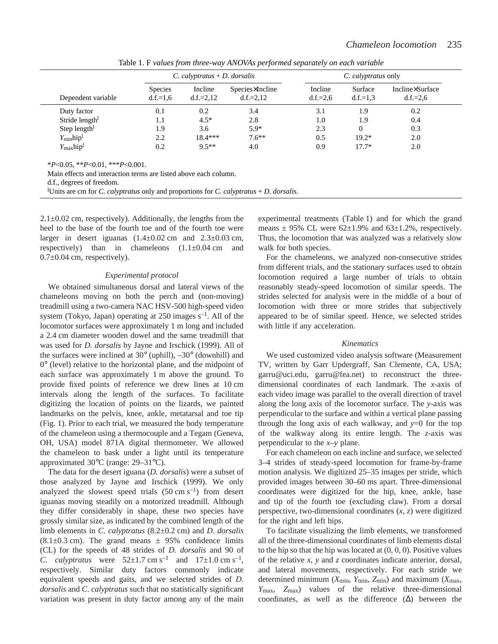|                                   |                              | C. calyptratus $+ D$ . dorsalis |                                | C. calyptratus only   |                       |                               |  |
|-----------------------------------|------------------------------|---------------------------------|--------------------------------|-----------------------|-----------------------|-------------------------------|--|
| Dependent variable                | <b>Species</b><br>$d.f.=1,6$ | Incline<br>$d.f.=2.12$          | Species×Incline<br>$d.f.=2.12$ | Incline<br>$d.f.=2,6$ | Surface<br>$d.f.=1,3$ | Incline×Surface<br>$d.f.=2,6$ |  |
| Duty factor                       | 0.1                          | 0.2                             | 3.4                            | 3.1                   | 1.9                   | 0.2                           |  |
| Stride length <sup>1</sup>        | 1.1                          | $4.5*$                          | 2.8                            | 1.0                   | 1.9                   | 0.4                           |  |
| Step length                       | 1.9                          | 3.6                             | $5.9*$                         | 2.3                   | $\Omega$              | 0.3                           |  |
| $Y_{\text{min}}$ hip <sup>1</sup> | 2.2                          | $18.4***$                       | $7.6***$                       | 0.5                   | $19.2*$               | 2.0                           |  |
| $Y_{\text{max}}$ hip <sup>1</sup> | 0.2                          | $9.5**$                         | 4.0                            | 0.9                   | $17.7*$               | 2.0                           |  |

Table 1. F values from three-way ANOVAs performed separately on each variable

\**P*<0.05, \*\**P*<0.01, \*\*\**P*<0.001.

Main effects and interaction terms are listed above each column.

d.f., degrees of freedom.

l Units are cm for *C. calyptratus* only and proportions for *C. calyptratus* + *D. dorsalis*.

 $2.1 \pm 0.02$  cm, respectively). Additionally, the lengths from the heel to the base of the fourth toe and of the fourth toe were larger in desert iguanas  $(1.4 \pm 0.02$  cm and  $2.3 \pm 0.03$  cm, respectively) than in chameleons  $(1.1\pm0.04 \text{ cm}$  and  $0.7\pm0.04$  cm, respectively).

## *Experimental protocol*

We obtained simultaneous dorsal and lateral views of the chameleons moving on both the perch and (non-moving) treadmill using a two-camera NAC HSV-500 high-speed video system (Tokyo, Japan) operating at  $250$  images  $s^{-1}$ . All of the locomotor surfaces were approximately 1 m long and included a 2.4 cm diameter wooden dowel and the same treadmill that was used for *D. dorsalis* by Jayne and Irschick (1999). All of the surfaces were inclined at 30° (uphill), –30° (downhill) and 0° (level) relative to the horizontal plane, and the midpoint of each surface was approximately 1 m above the ground. To provide fixed points of reference we drew lines at 10 cm intervals along the length of the surfaces. To facilitate digitizing the location of points on the lizards, we painted landmarks on the pelvis, knee, ankle, metatarsal and toe tip (Fig. 1). Prior to each trial, we measured the body temperature of the chameleon using a thermocouple and a Tegam (Geneva, OH, USA) model 871A digital thermometer. We allowed the chameleon to bask under a light until its temperature approximated 30°C (range: 29–31°C).

The data for the desert iguana (*D. dorsalis*) were a subset of those analyzed by Jayne and Irschick (1999). We only analyzed the slowest speed trials  $(50 \text{ cm s}^{-1})$  from desert iguanas moving steadily on a motorized treadmill. Although they differ considerably in shape, these two species have grossly similar size, as indicated by the combined length of the limb elements in *C*. *calyptratus* (8.2±0.2·cm) and *D*. *dorsalis*  $(8.1\pm0.3 \text{ cm})$ . The grand means  $\pm$  95% confidence limits (CL) for the speeds of 48 strides of *D*. *dorsalis* and 90 of *C. calyptratus* were  $52 \pm 1.7$  cm s<sup>-1</sup> and  $17 \pm 1.0$  cm s<sup>-1</sup>, respectively. Similar duty factors commonly indicate equivalent speeds and gaits, and we selected strides of *D*. *dorsalis* and *C*. *calyptratus* such that no statistically significant variation was present in duty factor among any of the main experimental treatments (Table 1) and for which the grand means  $\pm$  95% CL were 62 $\pm$ 1.9% and 63 $\pm$ 1.2%, respectively. Thus, the locomotion that was analyzed was a relatively slow walk for both species.

For the chameleons, we analyzed non-consecutive strides from different trials, and the stationary surfaces used to obtain locomotion required a large number of trials to obtain reasonably steady-speed locomotion of similar speeds. The strides selected for analysis were in the middle of a bout of locomotion with three or more strides that subjectively appeared to be of similar speed. Hence, we selected strides with little if any acceleration.

# *Kinematics*

We used customized video analysis software (Measurement TV, written by Garr Updergraff, San Clemente, CA, USA; garru@uci.edu, garru@fea.net) to reconstruct the threedimensional coordinates of each landmark. The *x*-axis of each video image was parallel to the overall direction of travel along the long axis of the locomotor surface. The *y*-axis was perpendicular to the surface and within a vertical plane passing through the long axis of each walkway, and *y*=0 for the top of the walkway along its entire length. The *z*-axis was perpendicular to the *x*–*y* plane.

For each chameleon on each incline and surface, we selected 3–4 strides of steady-speed locomotion for frame-by-frame motion analysis. We digitized 25–35 images per stride, which provided images between 30–60 ms apart. Three-dimensional coordinates were digitized for the hip, knee, ankle, base and tip of the fourth toe (excluding claw). From a dorsal perspective, two-dimensional coordinates (*x*, *z*) were digitized for the right and left hips.

To facilitate visualizing the limb elements, we transformed all of the three-dimensional coordinates of limb elements distal to the hip so that the hip was located at  $(0, 0, 0)$ . Positive values of the relative *x*, *y* and *z* coordinates indicate anterior, dorsal, and lateral movements, respectively. For each stride we determined minimum (*X*min, *Y*min, *Z*min) and maximum (*X*max, *Y*max, *Z*max) values of the relative three-dimensional coordinates, as well as the difference (∆) between the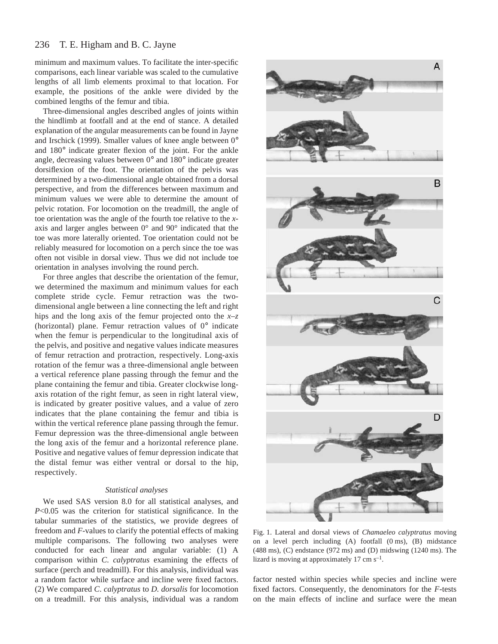minimum and maximum values. To facilitate the inter-specific comparisons, each linear variable was scaled to the cumulative lengths of all limb elements proximal to that location. For example, the positions of the ankle were divided by the combined lengths of the femur and tibia.

Three-dimensional angles described angles of joints within the hindlimb at footfall and at the end of stance. A detailed explanation of the angular measurements can be found in Jayne and Irschick (1999). Smaller values of knee angle between 0° and 180° indicate greater flexion of the joint. For the ankle angle, decreasing values between 0° and 180° indicate greater dorsiflexion of the foot. The orientation of the pelvis was determined by a two-dimensional angle obtained from a dorsal perspective, and from the differences between maximum and minimum values we were able to determine the amount of pelvic rotation. For locomotion on the treadmill, the angle of toe orientation was the angle of the fourth toe relative to the *x*axis and larger angles between 0° and 90° indicated that the toe was more laterally oriented. Toe orientation could not be reliably measured for locomotion on a perch since the toe was often not visible in dorsal view. Thus we did not include toe orientation in analyses involving the round perch.

For three angles that describe the orientation of the femur, we determined the maximum and minimum values for each complete stride cycle. Femur retraction was the twodimensional angle between a line connecting the left and right hips and the long axis of the femur projected onto the *x*–*z* (horizontal) plane. Femur retraction values of 0° indicate when the femur is perpendicular to the longitudinal axis of the pelvis, and positive and negative values indicate measures of femur retraction and protraction, respectively. Long-axis rotation of the femur was a three-dimensional angle between a vertical reference plane passing through the femur and the plane containing the femur and tibia. Greater clockwise longaxis rotation of the right femur, as seen in right lateral view, is indicated by greater positive values, and a value of zero indicates that the plane containing the femur and tibia is within the vertical reference plane passing through the femur. Femur depression was the three-dimensional angle between the long axis of the femur and a horizontal reference plane. Positive and negative values of femur depression indicate that the distal femur was either ventral or dorsal to the hip, respectively.

### *Statistical analyses*

We used SAS version 8.0 for all statistical analyses, and *P*<0.05 was the criterion for statistical significance. In the tabular summaries of the statistics, we provide degrees of freedom and *F*-values to clarify the potential effects of making multiple comparisons. The following two analyses were conducted for each linear and angular variable: (1) A comparison within *C*. *calyptratus* examining the effects of surface (perch and treadmill). For this analysis, individual was a random factor while surface and incline were fixed factors. (2) We compared *C*. *calyptratus* to *D. dorsalis* for locomotion on a treadmill. For this analysis, individual was a random



Fig. 1. Lateral and dorsal views of *Chamaeleo calyptratus* moving on a level perch including (A) footfall (0 ms), (B) midstance  $(488 \text{ ms})$ ,  $(C)$  endstance  $(972 \text{ ms})$  and  $(D)$  midswing  $(1240 \text{ ms})$ . The lizard is moving at approximately 17 cm  $s^{-1}$ .

factor nested within species while species and incline were fixed factors. Consequently, the denominators for the *F*-tests on the main effects of incline and surface were the mean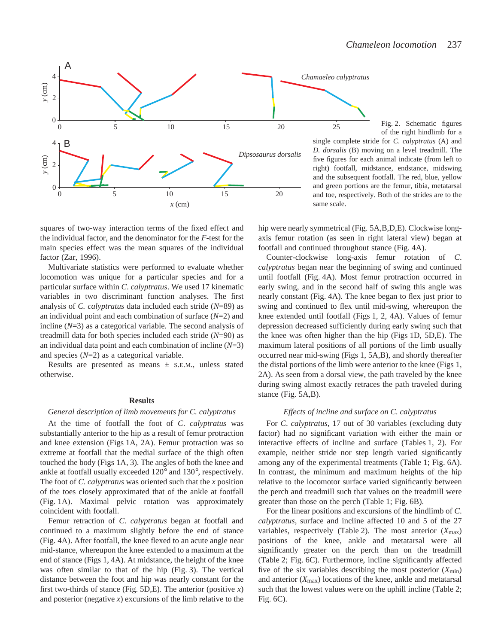

Fig. 2. Schematic figures of the right hindlimb for a

single complete stride for *C*. *calyptratus* (A) and *D. dorsalis* (B) moving on a level treadmill. The five figures for each animal indicate (from left to right) footfall, midstance, endstance, midswing and the subsequent footfall. The red, blue, yellow and green portions are the femur, tibia, metatarsal and toe, respectively. Both of the strides are to the

squares of two-way interaction terms of the fixed effect and the individual factor, and the denominator for the *F*-test for the main species effect was the mean squares of the individual factor (Zar, 1996).

Multivariate statistics were performed to evaluate whether locomotion was unique for a particular species and for a particular surface within *C*. *calyptratus*. We used 17 kinematic variables in two discriminant function analyses. The first analysis of *C. calyptratus* data included each stride (*N*=89) as an individual point and each combination of surface (*N*=2) and incline (*N*=3) as a categorical variable. The second analysis of treadmill data for both species included each stride (*N*=90) as an individual data point and each combination of incline (*N*=3) and species (*N*=2) as a categorical variable.

Results are presented as means  $\pm$  s.E.M., unless stated otherwise.

### **Results**

## *General description of limb movements for C. calyptratus*

At the time of footfall the foot of *C*. *calyptratus* was substantially anterior to the hip as a result of femur protraction and knee extension (Figs 1A, 2A). Femur protraction was so extreme at footfall that the medial surface of the thigh often touched the body (Figs 1A, 3). The angles of both the knee and ankle at footfall usually exceeded 120° and 130°, respectively. The foot of *C*. *calyptratus* was oriented such that the *x* position of the toes closely approximated that of the ankle at footfall (Fig. 1A). Maximal pelvic rotation was approximately coincident with footfall.

Femur retraction of *C*. *calyptratus* began at footfall and continued to a maximum slightly before the end of stance (Fig. 4A). After footfall, the knee flexed to an acute angle near mid-stance, whereupon the knee extended to a maximum at the end of stance (Figs 1, 4A). At midstance, the height of the knee was often similar to that of the hip (Fig. 3). The vertical distance between the foot and hip was nearly constant for the first two-thirds of stance (Fig. 5D,E). The anterior (positive  $x$ ) and posterior (negative *x*) excursions of the limb relative to the hip were nearly symmetrical (Fig. 5A,B,D,E). Clockwise longaxis femur rotation (as seen in right lateral view) began at footfall and continued throughout stance (Fig. 4A).

Counter-clockwise long-axis femur rotation of *C*. *calyptratus* began near the beginning of swing and continued until footfall (Fig. 4A). Most femur protraction occurred in early swing, and in the second half of swing this angle was nearly constant (Fig. 4A). The knee began to flex just prior to swing and continued to flex until mid-swing, whereupon the knee extended until footfall (Figs 1, 2, 4A). Values of femur depression decreased sufficiently during early swing such that the knee was often higher than the hip (Figs 1D, 5D,E). The maximum lateral positions of all portions of the limb usually occurred near mid-swing (Figs·1, 5A,B), and shortly thereafter the distal portions of the limb were anterior to the knee (Figs·1, 2A). As seen from a dorsal view, the path traveled by the knee during swing almost exactly retraces the path traveled during stance (Fig.  $5A,B$ ).

## *Effects of incline and surface on C. calyptratus*

For *C*. *calyptratus*, 17 out of 30 variables (excluding duty factor) had no significant variation with either the main or interactive effects of incline and surface (Tables 1, 2). For example, neither stride nor step length varied significantly among any of the experimental treatments (Table 1; Fig. 6A). In contrast, the minimum and maximum heights of the hip relative to the locomotor surface varied significantly between the perch and treadmill such that values on the treadmill were greater than those on the perch (Table 1; Fig.  $6B$ ).

For the linear positions and excursions of the hindlimb of *C*. *calyptratus*, surface and incline affected 10 and 5 of the 27 variables, respectively (Table 2). The most anterior (*X*<sub>max</sub>) positions of the knee, ankle and metatarsal were all significantly greater on the perch than on the treadmill (Table 2; Fig. 6C). Furthermore, incline significantly affected five of the six variables describing the most posterior  $(X_{\text{min}})$ and anterior  $(X_{\text{max}})$  locations of the knee, ankle and metatarsal such that the lowest values were on the uphill incline (Table 2; Fig. 6C).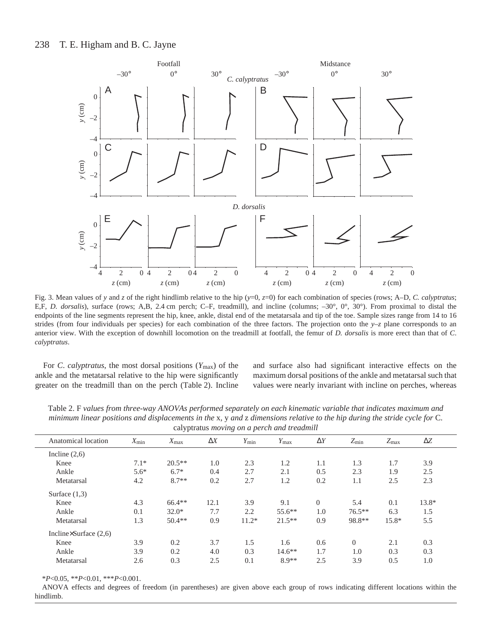

Fig. 3. Mean values of *y* and *z* of the right hindlimb relative to the hip (*y*=0, *z*=0) for each combination of species (rows; A–D, *C. calyptratus*; E,F, *D. dorsalis*), surface (rows; A,B, 2.4 cm perch; C–F, treadmill), and incline (columns;  $-30^{\circ}$ ,  $0^{\circ}$ ,  $30^{\circ}$ ). From proximal to distal the endpoints of the line segments represent the hip, knee, ankle, distal end of the metatarsala and tip of the toe. Sample sizes range from 14 to 16 strides (from four individuals per species) for each combination of the three factors. The projection onto the  $y-z$  plane corresponds to an anterior view. With the exception of downhill locomotion on the treadmill at footfall, the femur of *D. dorsalis* is more erect than that of *C*. *calyptratus*.

For *C*. *calyptratus*, the most dorsal positions (*Y*max) of the ankle and the metatarsal relative to the hip were significantly greater on the treadmill than on the perch (Table 2). Incline and surface also had significant interactive effects on the maximum dorsal positions of the ankle and metatarsal such that values were nearly invariant with incline on perches, whereas

| Table 2. F values from three-way ANOVAs performed separately on each kinematic variable that indicates maximum and         |
|----------------------------------------------------------------------------------------------------------------------------|
| minimum linear positions and displacements in the x, y and z dimensions relative to the hip during the stride cycle for C. |
| calyptratus moving on a perch and treadmill                                                                                |

|                                |            | - -              |            |               |                  |                |                  |           |            |  |
|--------------------------------|------------|------------------|------------|---------------|------------------|----------------|------------------|-----------|------------|--|
| Anatomical location            | $X_{\min}$ | $X_{\text{max}}$ | $\Delta X$ | $Y_{\rm min}$ | $Y_{\text{max}}$ | $\Delta Y$     | $Z_{\text{min}}$ | $Z_{max}$ | $\Delta Z$ |  |
| Incline $(2,6)$                |            |                  |            |               |                  |                |                  |           |            |  |
| Knee                           | $7.1*$     | $20.5**$         | 1.0        | 2.3           | 1.2              | 1.1            | 1.3              | 1.7       | 3.9        |  |
| Ankle                          | $5.6*$     | $6.7*$           | 0.4        | 2.7           | 2.1              | 0.5            | 2.3              | 1.9       | 2.5        |  |
| Metatarsal                     | 4.2        | $8.7**$          | 0.2        | 2.7           | 1.2              | 0.2            | 1.1              | 2.5       | 2.3        |  |
| Surface $(1,3)$                |            |                  |            |               |                  |                |                  |           |            |  |
| Knee                           | 4.3        | 66.4**           | 12.1       | 3.9           | 9.1              | $\overline{0}$ | 5.4              | 0.1       | 13.8*      |  |
| Ankle                          | 0.1        | $32.0*$          | 7.7        | 2.2           | $55.6**$         | 1.0            | $76.5***$        | 6.3       | 1.5        |  |
| Metatarsal                     | 1.3        | $50.4**$         | 0.9        | $11.2*$       | $21.5**$         | 0.9            | 98.8**           | 15.8*     | 5.5        |  |
| Incline $\times$ Surface (2,6) |            |                  |            |               |                  |                |                  |           |            |  |
| Knee                           | 3.9        | 0.2              | 3.7        | 1.5           | 1.6              | 0.6            | $\Omega$         | 2.1       | 0.3        |  |
| Ankle                          | 3.9        | 0.2              | 4.0        | 0.3           | $14.6**$         | 1.7            | 1.0              | 0.3       | 0.3        |  |
| Metatarsal                     | 2.6        | 0.3              | 2.5        | 0.1           | 8.9**            | 2.5            | 3.9              | 0.5       | 1.0        |  |
|                                |            |                  |            |               |                  |                |                  |           |            |  |

\**P*<0.05, \*\**P*<0.01, \*\*\**P*<0.001.

ANOVA effects and degrees of freedom (in parentheses) are given above each group of rows indicating different locations within the hindlimb.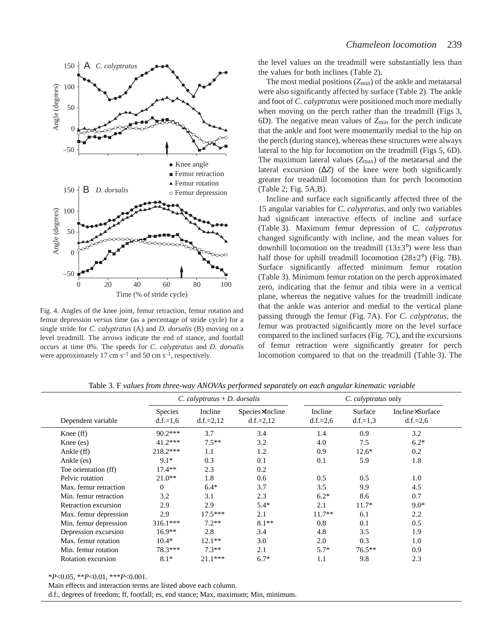

Fig. 4. Angles of the knee joint, femur retraction, femur rotation and femur depression *versus* time (as a percentage of stride cycle) for a single stride for *C*. *calyptratus* (A) and *D. dorsalis* (B) moving on a level treadmill. The arrows indicate the end of stance, and footfall occurs at time 0%. The speeds for *C*. *calyptratus* and *D. dorsalis* were approximately 17 cm  $s^{-1}$  and 50 cm  $s^{-1}$ , respectively.

the level values on the treadmill were substantially less than the values for both inclines (Table 2).

The most medial positions (*Z*min) of the ankle and metatarsal were also significantly affected by surface (Table 2). The ankle and foot of *C*. *calyptratus* were positioned much more medially when moving on the perch rather than the treadmill (Figs 3, 6D). The negative mean values of *Z*min for the perch indicate that the ankle and foot were momentarily medial to the hip on the perch (during stance), whereas these structures were always lateral to the hip for locomotion on the treadmill (Figs 5, 6D). The maximum lateral values (*Z*max) of the metatarsal and the lateral excursion (∆*Z*) of the knee were both significantly greater for treadmill locomotion than for perch locomotion  $(Table 2; Fig. 5A,B).$ 

Incline and surface each significantly affected three of the 15 angular variables for *C*. *calyptratus*, and only two variables had significant interactive effects of incline and surface (Table·3). Maximum femur depression of *C*. *calyptratus* changed significantly with incline, and the mean values for downhill locomotion on the treadmill  $(13\pm3)$ <sup>o</sup>) were less than half those for uphill treadmill locomotion  $(28\pm2^{\circ})$  (Fig. 7B). Surface significantly affected minimum femur rotation (Table 3). Minimum femur rotation on the perch approximated zero, indicating that the femur and tibia were in a vertical plane, whereas the negative values for the treadmill indicate that the ankle was anterior and medial to the vertical plane passing through the femur (Fig. 7A). For *C. calyptratus*, the femur was protracted significantly more on the level surface compared to the inclined surfaces (Fig. 7C), and the excursions of femur retraction were significantly greater for perch locomotion compared to that on the treadmill (Table 3). The

|                             |                              | C. calyptratus $+ D$ . dorsalis |                                | C. calyptratus only   |                       |                               |  |
|-----------------------------|------------------------------|---------------------------------|--------------------------------|-----------------------|-----------------------|-------------------------------|--|
| Dependent variable          | <b>Species</b><br>$d.f.=1,6$ | Incline<br>$d.f.=2,12$          | Species×Incline<br>$d.f.=2,12$ | Incline<br>$d.f.=2,6$ | Surface<br>$d.f.=1,3$ | Incline×Surface<br>$d.f.=2,6$ |  |
| Knee $(ff)$                 | $90.2***$                    | 3.7                             | 3.4                            | 1.4                   | 0.9                   | 3.2                           |  |
| Knee $(es)$                 | $41.2***$                    | $7.5**$                         | 3.2                            | 4.0                   | 7.5                   | $6.2*$                        |  |
| Ankle (ff)                  | $218.2***$                   | 1.1                             | 1.2                            | 0.9                   | $12.6*$               | 0.2                           |  |
| Ankle (es)                  | $9.1*$                       | 0.3                             | 0.1                            | 0.1                   | 5.9                   | 1.8                           |  |
| Toe orientation (ff)        | $17.4**$                     | 2.3                             | 0.2                            |                       |                       |                               |  |
| Pelvic rotation             | $21.0**$                     | 1.8                             | 0.6                            | 0.5                   | 0.5                   | 1.0                           |  |
| Max. femur retraction       | $\overline{0}$               | $6.4*$                          | 3.7                            | 3.5                   | 9.9                   | 4.5                           |  |
| Min. femur retraction       | 3.2                          | 3.1                             | 2.3                            | $6.2*$                | 8.6                   | 0.7                           |  |
| <b>Retraction excursion</b> | 2.9                          | 2.9                             | $5.4*$                         | 2.1                   | $11.7*$               | $9.0*$                        |  |
| Max. femur depression       | 2.9                          | $17.5***$                       | 2.1                            | $11.7**$              | 6.1                   | 2.2                           |  |
| Min. femur depression       | $316.1***$                   | $7.2**$                         | $8.1**$                        | 0.8                   | 0.1                   | 0.5                           |  |
| Depression excursion        | $16.9**$                     | 2.8                             | 3.4                            | 4.8                   | 3.5                   | 1.9                           |  |
| Max. femur rotation         | $10.4*$                      | $12.1**$                        | 3.0                            | 2.0                   | 0.3                   | 1.0                           |  |
| Min. femur rotation         | 78.3***                      | $7.3**$                         | 2.1                            | $5.7*$                | $76.5***$             | 0.9                           |  |
| Rotation excursion          | $8.1*$                       | $21.1***$                       | $6.7*$                         | 1.1                   | 9.8                   | 2.3                           |  |

Table 3. F values from three-way ANOVAs performed separately on each angular kinematic variable

\**P*<0.05, \*\**P*<0.01, \*\*\**P*<0.001.

Main effects and interaction terms are listed above each column.

d.f., degrees of freedom; ff, footfall; es, end stance; Max, maximum; Min, minimum.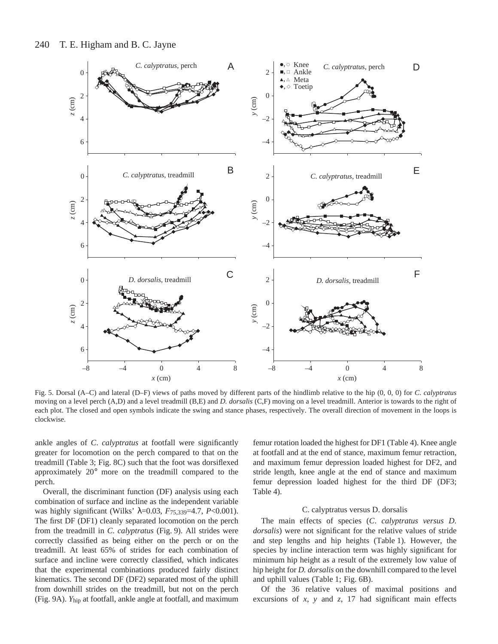

Fig. 5. Dorsal (A–C) and lateral (D–F) views of paths moved by different parts of the hindlimb relative to the hip (0, 0, 0) for *C. calyptratus* moving on a level perch (A,D) and a level treadmill (B,E) and *D. dorsalis* (C,F) moving on a level treadmill. Anterior is towards to the right of each plot. The closed and open symbols indicate the swing and stance phases, respectively. The overall direction of movement in the loops is clockwise.

ankle angles of *C*. *calyptratus* at footfall were significantly greater for locomotion on the perch compared to that on the treadmill (Table 3; Fig. 8C) such that the foot was dorsiflexed approximately 20° more on the treadmill compared to the perch.

Overall, the discriminant function (DF) analysis using each combination of surface and incline as the independent variable was highly significant (Wilks' λ=0.03, *F*75,339=4.7, *P*<0.001). The first DF (DF1) cleanly separated locomotion on the perch from the treadmill in *C. calyptratus* (Fig. 9). All strides were correctly classified as being either on the perch or on the treadmill. At least 65% of strides for each combination of surface and incline were correctly classified, which indicates that the experimental combinations produced fairly distinct kinematics. The second DF (DF2) separated most of the uphill from downhill strides on the treadmill, but not on the perch (Fig.·9A). *Y*hip at footfall, ankle angle at footfall, and maximum

femur rotation loaded the highest for DF1 (Table 4). Knee angle at footfall and at the end of stance, maximum femur retraction, and maximum femur depression loaded highest for DF2, and stride length, knee angle at the end of stance and maximum femur depression loaded highest for the third DF (DF3; Table 4).

## C. calyptratus versus D. dorsalis

The main effects of species (*C*. *calyptratus versus D. dorsalis*) were not significant for the relative values of stride and step lengths and hip heights (Table 1). However, the species by incline interaction term was highly significant for minimum hip height as a result of the extremely low value of hip height for *D. dorsalis* on the downhill compared to the level and uphill values (Table 1; Fig.  $6B$ ).

Of the 36 relative values of maximal positions and excursions of *x*, *y* and *z*, 17 had significant main effects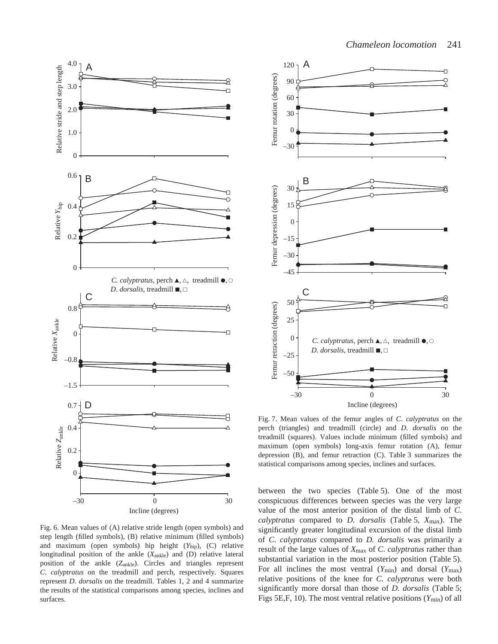

Fig. 6. Mean values of (A) relative stride length (open symbols) and step length (filled symbols), (B) relative minimum (filled symbols) and maximum (open symbols) hip height (*Y*hip), (C) relative longitudinal position of the ankle (*X*<sub>ankle</sub>) and (D) relative lateral position of the ankle (*Z*ankle). Circles and triangles represent *C*. *calyptratus* on the treadmill and perch, respectively. Squares represent *D. dorsalis* on the treadmill. Tables 1, 2 and 4 summarize the results of the statistical comparisons among species, inclines and surfaces.



Fig. 7. Mean values of the femur angles of *C. calyptratus* on the perch (triangles) and treadmill (circle) and *D. dorsalis* on the treadmill (squares). Values include minimum (filled symbols) and maximum (open symbols) long-axis femur rotation (A), femur depression  $(B)$ , and femur retraction  $(C)$ . Table 3 summarizes the statistical comparisons among species, inclines and surfaces.

between the two species (Table 5). One of the most conspicuous differences between species was the very large value of the most anterior position of the distal limb of *C*. *calyptratus* compared to *D. dorsalis* (Table·5, *X*max). The significantly greater longitudinal excursion of the distal limb of *C*. *calyptratus* compared to *D. dorsalis* was primarily a result of the large values of *X*max of *C*. *calyptratus* rather than substantial variation in the most posterior position (Table 5). For all inclines the most ventral  $(Y_{min})$  and dorsal  $(Y_{max})$ relative positions of the knee for *C*. *calyptratus* were both significantly more dorsal than those of *D. dorsalis* (Table 5; Figs 5E,F, 10). The most ventral relative positions (*Y*<sub>min</sub>) of all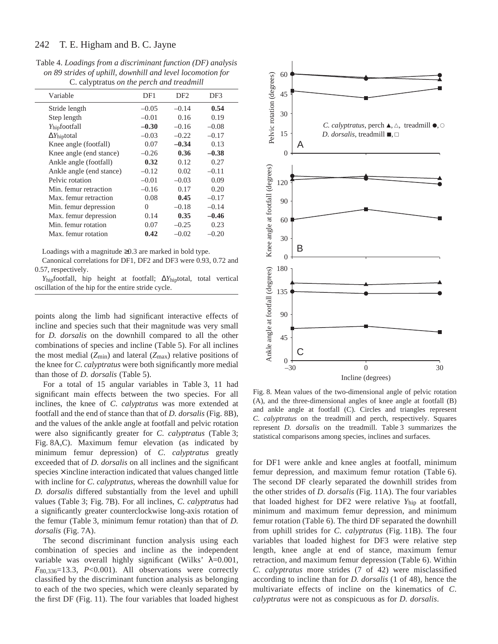Table 4. *Loadings from a discriminant function (DF) analysis on 89 strides of uphill, downhill and level locomotion for* C. calyptratus *on the perch and treadmill*

| Variable                   | DF1      | DF <sub>2</sub> | DF3     |
|----------------------------|----------|-----------------|---------|
| Stride length              | $-0.05$  | $-0.14$         | 0.54    |
| Step length                | $-0.01$  | 0.16            | 0.19    |
| Y <sub>hip</sub> football  | $-0.30$  | $-0.16$         | $-0.08$ |
| $\Delta Y_{\rm hip}$ total | $-0.03$  | $-0.22$         | $-0.17$ |
| Knee angle (footfall)      | 0.07     | $-0.34$         | 0.13    |
| Knee angle (end stance)    | $-0.26$  | 0.36            | $-0.38$ |
| Ankle angle (footfall)     | 0.32     | 0.12            | 0.27    |
| Ankle angle (end stance)   | $-0.12$  | 0.02            | $-0.11$ |
| Pelvic rotation            | $-0.01$  | $-0.03$         | 0.09    |
| Min. femur retraction      | $-0.16$  | 0.17            | 0.20    |
| Max. femur retraction      | 0.08     | 0.45            | $-0.17$ |
| Min. femur depression      | $\theta$ | $-0.18$         | $-0.14$ |
| Max. femur depression      | 0.14     | 0.35            | $-0.46$ |
| Min. femur rotation        | 0.07     | $-0.25$         | 0.23    |
| Max. femur rotation        | 0.42     | $-0.02$         | $-0.20$ |

Loadings with a magnitude ≥0.3 are marked in bold type.

Canonical correlations for DF1, DF2 and DF3 were 0.93, 0.72 and 0.57, respectively.

*Y*hipfootfall, hip height at footfall; ∆*Y*hiptotal, total vertical oscillation of the hip for the entire stride cycle.

points along the limb had significant interactive effects of incline and species such that their magnitude was very small for *D. dorsalis* on the downhill compared to all the other combinations of species and incline (Table 5). For all inclines the most medial  $(Z_{min})$  and lateral  $(Z_{max})$  relative positions of the knee for *C*. *calyptratus* were both significantly more medial than those of *D. dorsalis* (Table 5).

For a total of 15 angular variables in Table 3, 11 had significant main effects between the two species. For all inclines, the knee of *C*. *calyptratus* was more extended at footfall and the end of stance than that of *D. dorsalis* (Fig. 8B), and the values of the ankle angle at footfall and pelvic rotation were also significantly greater for *C. calyptratus* (Table 3; Fig. 8A,C). Maximum femur elevation (as indicated by minimum femur depression) of *C*. *calyptratus* greatly exceeded that of *D. dorsalis* on all inclines and the significant  $s$ pecies  $\times$  incline interaction indicated that values changed little with incline for *C*. *calyptratus*, whereas the downhill value for *D. dorsalis* differed substantially from the level and uphill values (Table 3; Fig. 7B). For all inclines, *C. calyptratus* had a significantly greater counterclockwise long-axis rotation of the femur (Table 3, minimum femur rotation) than that of *D*. dorsalis (Fig. 7A).

The second discriminant function analysis using each combination of species and incline as the independent variable was overall highly significant (Wilks'  $\lambda$ =0.001, *F*80,336=13.3, *P*<0.001). All observations were correctly classified by the discriminant function analysis as belonging to each of the two species, which were cleanly separated by the first DF (Fig. 11). The four variables that loaded highest



Fig. 8. Mean values of the two-dimensional angle of pelvic rotation (A), and the three-dimensional angles of knee angle at footfall (B) and ankle angle at footfall (C). Circles and triangles represent *C*. *calyptratus* on the treadmill and perch, respectively. Squares represent *D. dorsalis* on the treadmill. Table 3 summarizes the statistical comparisons among species, inclines and surfaces.

for DF1 were ankle and knee angles at footfall, minimum femur depression, and maximum femur rotation (Table·6). The second DF clearly separated the downhill strides from the other strides of *D. dorsalis* (Fig. 11A). The four variables that loaded highest for DF2 were relative *Y*hip at footfall, minimum and maximum femur depression, and minimum femur rotation (Table 6). The third DF separated the downhill from uphill strides for *C. calyptratus* (Fig. 11B). The four variables that loaded highest for DF3 were relative step length, knee angle at end of stance, maximum femur retraction, and maximum femur depression (Table 6). Within *C*. *calyptratus* more strides (7 of 42) were misclassified according to incline than for *D. dorsalis* (1 of 48), hence the multivariate effects of incline on the kinematics of *C*. *calyptratus* were not as conspicuous as for *D. dorsalis*.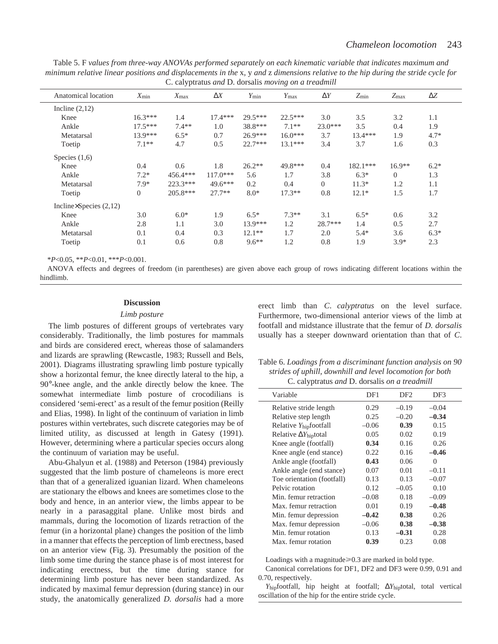Table 5. F values from three-way ANOVAs performed separately on each kinematic variable that indicates maximum and *minimum relative linear positions and displacements in the* x*,* y *and* z *dimensions relative to the hip during the stride cycle for* C. calyptratus *and* D. dorsalis *moving on a treadmill*

| Anatomical location             | $X_{\min}$     | $X_{\text{max}}$ | $\Delta X$ | $Y_{\rm min}$ | $Y_{\text{max}}$ | $\Delta Y$ | $Z_{\text{min}}$ | $Z_{max}$ | $\Delta Z$ |
|---------------------------------|----------------|------------------|------------|---------------|------------------|------------|------------------|-----------|------------|
| Incline $(2,12)$                |                |                  |            |               |                  |            |                  |           |            |
| Knee                            | $16.3***$      | 1.4              | $17.4***$  | $29.5***$     | $22.5***$        | 3.0        | 3.5              | 3.2       | 1.1        |
| Ankle                           | $17.5***$      | $7.4**$          | 1.0        | 38.8***       | $7.1**$          | $23.0***$  | 3.5              | 0.4       | 1.9        |
| Metatarsal                      | $13.9***$      | $6.5*$           | 0.7        | $26.9***$     | $16.0***$        | 3.7        | $13.4***$        | 1.9       | $4.7*$     |
| Toetip                          | $7.1**$        | 4.7              | 0.5        | $22.7***$     | $13.1***$        | 3.4        | 3.7              | 1.6       | 0.3        |
| Species $(1,6)$                 |                |                  |            |               |                  |            |                  |           |            |
| Knee                            | 0.4            | 0.6              | 1.8        | $26.2**$      | 49.8***          | 0.4        | $182.1***$       | $16.9**$  | $6.2*$     |
| Ankle                           | $7.2*$         | $456.4***$       | $117.0***$ | 5.6           | 1.7              | 3.8        | $6.3*$           | $\Omega$  | 1.3        |
| Metatarsal                      | $7.9*$         | 223.3***         | 49.6***    | 0.2           | 0.4              | $\Omega$   | $11.3*$          | 1.2       | 1.1        |
| Toetip                          | $\overline{0}$ | $205.8***$       | $27.7**$   | $8.0*$        | $17.3**$         | 0.8        | $12.1*$          | 1.5       | 1.7        |
| Incline $\times$ Species (2,12) |                |                  |            |               |                  |            |                  |           |            |
| Knee                            | 3.0            | $6.0*$           | 1.9        | $6.5*$        | $7.3**$          | 3.1        | $6.5*$           | 0.6       | 3.2        |
| Ankle                           | 2.8            | 1.1              | 3.0        | $13.9***$     | 1.2              | $28.7***$  | 1.4              | 0.5       | 2.7        |
| Metatarsal                      | 0.1            | 0.4              | 0.3        | $12.1**$      | 1.7              | 2.0        | $5.4*$           | 3.6       | $6.3*$     |
| Toetip                          | 0.1            | 0.6              | 0.8        | $9.6***$      | 1.2              | 0.8        | 1.9              | $3.9*$    | 2.3        |

\**P*<0.05, \*\**P*<0.01, \*\*\**P*<0.001.

ANOVA effects and degrees of freedom (in parentheses) are given above each group of rows indicating different locations within the hindlimb.

### **Discussion**

### *Limb posture*

The limb postures of different groups of vertebrates vary considerably. Traditionally, the limb postures for mammals and birds are considered erect, whereas those of salamanders and lizards are sprawling (Rewcastle, 1983; Russell and Bels, 2001). Diagrams illustrating sprawling limb posture typically show a horizontal femur, the knee directly lateral to the hip, a 90°-knee angle, and the ankle directly below the knee. The somewhat intermediate limb posture of crocodilians is considered 'semi-erect' as a result of the femur position (Reilly and Elias, 1998). In light of the continuum of variation in limb postures within vertebrates, such discrete categories may be of limited utility, as discussed at length in Gatesy (1991). However, determining where a particular species occurs along the continuum of variation may be useful.

Abu-Ghalyun et al. (1988) and Peterson (1984) previously suggested that the limb posture of chameleons is more erect than that of a generalized iguanian lizard. When chameleons are stationary the elbows and knees are sometimes close to the body and hence, in an anterior view, the limbs appear to be nearly in a parasaggital plane. Unlike most birds and mammals, during the locomotion of lizards retraction of the femur (in a horizontal plane) changes the position of the limb in a manner that effects the perception of limb erectness, based on an anterior view (Fig. 3). Presumably the position of the limb some time during the stance phase is of most interest for indicating erectness, but the time during stance for determining limb posture has never been standardized. As indicated by maximal femur depression (during stance) in our study, the anatomically generalized *D. dorsalis* had a more erect limb than *C*. *calyptratus* on the level surface. Furthermore, two-dimensional anterior views of the limb at footfall and midstance illustrate that the femur of *D. dorsalis* usually has a steeper downward orientation than that of *C*.

Table 6. *Loadings from a discriminant function analysis on 90 strides of uphill, downhill and level locomotion for both* C. calyptratus *and* D. dorsalis *on a treadmill*

| Variable                                      | DF1     | DF <sub>2</sub> | DF3      |  |
|-----------------------------------------------|---------|-----------------|----------|--|
| Relative stride length                        | 0.29    | $-0.19$         | $-0.04$  |  |
| Relative step length                          | 0.25    | $-0.20$         | $-0.34$  |  |
| Relative Y <sub>hip</sub> footfall            | $-0.06$ | 0.39            | 0.15     |  |
| Relative $\Delta Y_{\text{hip} \text{total}}$ | 0.05    | 0.02            | 0.19     |  |
| Knee angle (footfall)                         | 0.34    | 0.16            | 0.26     |  |
| Knee angle (end stance)                       | 0.22    | 0.16            | $-0.46$  |  |
| Ankle angle (footfall)                        | 0.43    | 0.06            | $\Omega$ |  |
| Ankle angle (end stance)                      | 0.07    | 0.01            | $-0.11$  |  |
| Toe orientation (footfall)                    | 0.13    | 0.13            | $-0.07$  |  |
| Pelvic rotation                               | 0.12    | $-0.05$         | 0.10     |  |
| Min. femur retraction                         | $-0.08$ | 0.18            | $-0.09$  |  |
| Max. femur retraction                         | 0.01    | 0.19            | $-0.48$  |  |
| Min. femur depression                         | $-0.42$ | 0.38            | 0.26     |  |
| Max. femur depression                         | $-0.06$ | 0.38            | $-0.38$  |  |
| Min. femur rotation                           | 0.13    | $-0.31$         | 0.28     |  |
| Max. femur rotation                           | 0.39    | 0.23            | 0.08     |  |
|                                               |         |                 |          |  |

Loadings with a magnitude $\geq 0.3$  are marked in bold type.

Canonical correlations for DF1, DF2 and DF3 were 0.99, 0.91 and 0.70, respectively.

*Y*hipfootfall, hip height at footfall; ∆*Y*hiptotal, total vertical oscillation of the hip for the entire stride cycle.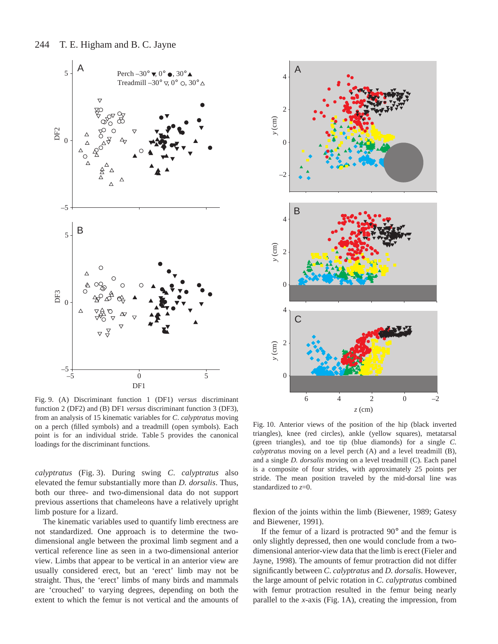

Fig. 9. (A) Discriminant function 1 (DF1) *versus* discriminant function 2 (DF2) and (B) DF1 *versus* discriminant function 3 (DF3), from an analysis of 15 kinematic variables for *C*. *calyptratus* moving on a perch (filled symbols) and a treadmill (open symbols). Each point is for an individual stride. Table 5 provides the canonical loadings for the discriminant functions.

*calyptratus* (Fig.·3). During swing *C*. *calyptratus* also elevated the femur substantially more than *D. dorsalis*. Thus, both our three- and two-dimensional data do not support previous assertions that chameleons have a relatively upright limb posture for a lizard.

The kinematic variables used to quantify limb erectness are not standardized. One approach is to determine the twodimensional angle between the proximal limb segment and a vertical reference line as seen in a two-dimensional anterior view. Limbs that appear to be vertical in an anterior view are usually considered erect, but an 'erect' limb may not be straight. Thus, the 'erect' limbs of many birds and mammals are 'crouched' to varying degrees, depending on both the extent to which the femur is not vertical and the amounts of



Fig. 10. Anterior views of the position of the hip (black inverted triangles), knee (red circles), ankle (yellow squares), metatarsal (green triangles), and toe tip (blue diamonds) for a single *C. calyptratus* moving on a level perch (A) and a level treadmill (B), and a single *D. dorsalis* moving on a level treadmill (C). Each panel is a composite of four strides, with approximately 25 points per stride. The mean position traveled by the mid-dorsal line was standardized to *z*=0.

flexion of the joints within the limb (Biewener, 1989; Gatesy and Biewener, 1991).

If the femur of a lizard is protracted 90° and the femur is only slightly depressed, then one would conclude from a twodimensional anterior-view data that the limb is erect (Fieler and Jayne, 1998). The amounts of femur protraction did not differ significantly between *C*. *calyptratus* and *D. dorsalis*. However, the large amount of pelvic rotation in *C*. *calyptratus* combined with femur protraction resulted in the femur being nearly parallel to the *x*-axis (Fig. 1A), creating the impression, from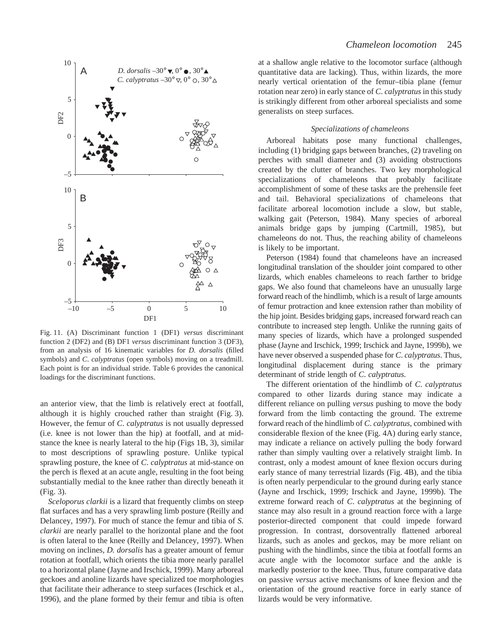

Fig. 11. (A) Discriminant function 1 (DF1) *versus* discriminant function 2 (DF2) and (B) DF1 *versus* discriminant function 3 (DF3), from an analysis of 16 kinematic variables for *D. dorsalis* (filled symbols) and *C*. *calyptratus* (open symbols) moving on a treadmill. Each point is for an individual stride. Table 6 provides the canonical loadings for the discriminant functions.

an anterior view, that the limb is relatively erect at footfall, although it is highly crouched rather than straight (Fig. 3). However, the femur of *C*. *calyptratus* is not usually depressed (i.e. knee is not lower than the hip) at footfall, and at midstance the knee is nearly lateral to the hip (Figs 1B, 3), similar to most descriptions of sprawling posture. Unlike typical sprawling posture, the knee of *C*. *calyptratus* at mid-stance on the perch is flexed at an acute angle, resulting in the foot being substantially medial to the knee rather than directly beneath it  $(Fig. 3)$ .

*Sceloporus clarkii* is a lizard that frequently climbs on steep flat surfaces and has a very sprawling limb posture (Reilly and Delancey, 1997). For much of stance the femur and tibia of *S*. *clarkii* are nearly parallel to the horizontal plane and the foot is often lateral to the knee (Reilly and Delancey, 1997). When moving on inclines, *D. dorsalis* has a greater amount of femur rotation at footfall, which orients the tibia more nearly parallel to a horizontal plane (Jayne and Irschick, 1999). Many arboreal geckoes and anoline lizards have specialized toe morphologies that facilitate their adherance to steep surfaces (Irschick et al., 1996), and the plane formed by their femur and tibia is often

at a shallow angle relative to the locomotor surface (although quantitative data are lacking). Thus, within lizards, the more nearly vertical orientation of the femur–tibia plane (femur rotation near zero) in early stance of *C*. *calyptratus* in this study is strikingly different from other arboreal specialists and some generalists on steep surfaces.

## *Specializations of chameleons*

Arboreal habitats pose many functional challenges, including (1) bridging gaps between branches, (2) traveling on perches with small diameter and (3) avoiding obstructions created by the clutter of branches. Two key morphological specializations of chameleons that probably facilitate accomplishment of some of these tasks are the prehensile feet and tail. Behavioral specializations of chameleons that facilitate arboreal locomotion include a slow, but stable, walking gait (Peterson, 1984). Many species of arboreal animals bridge gaps by jumping (Cartmill, 1985), but chameleons do not. Thus, the reaching ability of chameleons is likely to be important.

Peterson (1984) found that chameleons have an increased longitudinal translation of the shoulder joint compared to other lizards, which enables chameleons to reach farther to bridge gaps. We also found that chameleons have an unusually large forward reach of the hindlimb, which is a result of large amounts of femur protraction and knee extension rather than mobility of the hip joint. Besides bridging gaps, increased forward reach can contribute to increased step length. Unlike the running gaits of many species of lizards, which have a prolonged suspended phase (Jayne and Irschick, 1999; Irschick and Jayne, 1999b), we have never observed a suspended phase for *C*. *calyptratus*. Thus, longitudinal displacement during stance is the primary determinant of stride length of *C*. *calyptratus*.

The different orientation of the hindlimb of *C*. *calyptratus* compared to other lizards during stance may indicate a different reliance on pulling *versus* pushing to move the body forward from the limb contacting the ground. The extreme forward reach of the hindlimb of *C*. *calyptratus*, combined with considerable flexion of the knee (Fig. 4A) during early stance, may indicate a reliance on actively pulling the body forward rather than simply vaulting over a relatively straight limb. In contrast, only a modest amount of knee flexion occurs during early stance of many terrestrial lizards (Fig. 4B), and the tibia is often nearly perpendicular to the ground during early stance (Jayne and Irschick, 1999; Irschick and Jayne, 1999b). The extreme forward reach of *C*. *calyptratus* at the beginning of stance may also result in a ground reaction force with a large posterior-directed component that could impede forward progression. In contrast, dorsoventrally flattened arboreal lizards, such as anoles and geckos, may be more reliant on pushing with the hindlimbs, since the tibia at footfall forms an acute angle with the locomotor surface and the ankle is markedly posterior to the knee. Thus, future comparative data on passive *versus* active mechanisms of knee flexion and the orientation of the ground reactive force in early stance of lizards would be very informative.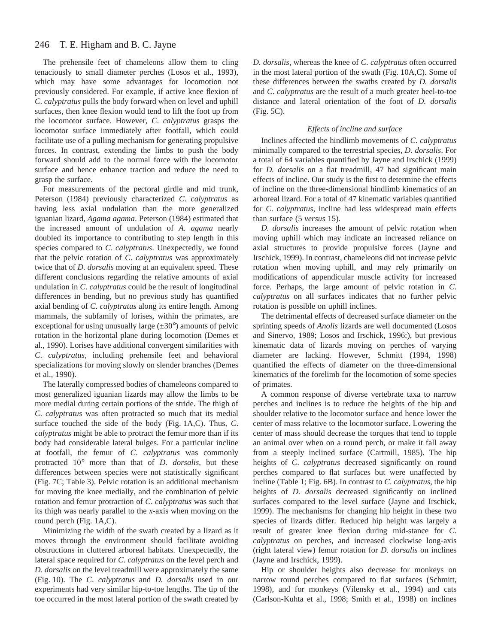The prehensile feet of chameleons allow them to cling tenaciously to small diameter perches (Losos et al., 1993), which may have some advantages for locomotion not previously considered. For example, if active knee flexion of *C*. *calyptratus* pulls the body forward when on level and uphill surfaces, then knee flexion would tend to lift the foot up from the locomotor surface. However, *C*. *calyptratus* grasps the locomotor surface immediately after footfall, which could facilitate use of a pulling mechanism for generating propulsive forces. In contrast, extending the limbs to push the body forward should add to the normal force with the locomotor surface and hence enhance traction and reduce the need to grasp the surface.

For measurements of the pectoral girdle and mid trunk, Peterson (1984) previously characterized *C*. *calyptratus* as having less axial undulation than the more generalized iguanian lizard, *Agama agama*. Peterson (1984) estimated that the increased amount of undulation of *A. agama* nearly doubled its importance to contributing to step length in this species compared to *C*. *calyptratus*. Unexpectedly, we found that the pelvic rotation of *C*. *calyptratus* was approximately twice that of *D. dorsalis* moving at an equivalent speed. These different conclusions regarding the relative amounts of axial undulation in *C*. *calyptratus* could be the result of longitudinal differences in bending, but no previous study has quantified axial bending of *C*. *calyptratus* along its entire length. Among mammals, the subfamily of lorises, within the primates, are exceptional for using unusually large  $(\pm 30^{\circ})$  amounts of pelvic rotation in the horizontal plane during locomotion (Demes et al., 1990). Lorises have additional convergent similarities with *C*. *calyptratus*, including prehensile feet and behavioral specializations for moving slowly on slender branches (Demes et al., 1990).

The laterally compressed bodies of chameleons compared to most generalized iguanian lizards may allow the limbs to be more medial during certain portions of the stride. The thigh of *C*. *calyptratus* was often protracted so much that its medial surface touched the side of the body (Fig. 1A,C). Thus, *C*. *calyptratus* might be able to protract the femur more than if its body had considerable lateral bulges. For a particular incline at footfall, the femur of *C*. *calyptratus* was commonly protracted 10° more than that of *D. dorsalis*, but these differences between species were not statistically significant (Fig. 7C; Table 3). Pelvic rotation is an additional mechanism for moving the knee medially, and the combination of pelvic rotation and femur protraction of *C*. *calyptratus* was such that its thigh was nearly parallel to the *x*-axis when moving on the round perch (Fig.  $1A, C$ ).

Minimizing the width of the swath created by a lizard as it moves through the environment should facilitate avoiding obstructions in cluttered arboreal habitats. Unexpectedly, the lateral space required for *C*. *calyptratus* on the level perch and *D. dorsalis* on the level treadmill were approximately the same (Fig.·10). The *C*. *calyptratus* and *D. dorsalis* used in our experiments had very similar hip-to-toe lengths. The tip of the toe occurred in the most lateral portion of the swath created by

*D. dorsalis*, whereas the knee of *C*. *calyptratus* often occurred in the most lateral portion of the swath (Fig. 10A,C). Some of these differences between the swaths created by *D. dorsalis* and *C*. *calyptratus* are the result of a much greater heel-to-toe distance and lateral orientation of the foot of *D. dorsalis*  $(Fig. 5C)$ .

## *Effects of incline and surface*

Inclines affected the hindlimb movements of *C. calyptratus* minimally compared to the terrestrial species, *D. dorsalis*. For a total of 64 variables quantified by Jayne and Irschick (1999) for *D. dorsalis* on a flat treadmill, 47 had significant main effects of incline. Our study is the first to determine the effects of incline on the three-dimensional hindlimb kinematics of an arboreal lizard. For a total of 47 kinematic variables quantified for *C*. *calyptratus*, incline had less widespread main effects than surface (5 *versus* 15).

*D. dorsalis* increases the amount of pelvic rotation when moving uphill which may indicate an increased reliance on axial structures to provide propulsive forces (Jayne and Irschick, 1999). In contrast, chameleons did not increase pelvic rotation when moving uphill, and may rely primarily on modifications of appendicular muscle activity for increased force. Perhaps, the large amount of pelvic rotation in *C*. *calyptratus* on all surfaces indicates that no further pelvic rotation is possible on uphill inclines.

The detrimental effects of decreased surface diameter on the sprinting speeds of *Anolis* lizards are well documented (Losos and Sinervo, 1989; Losos and Irschick, 1996;), but previous kinematic data of lizards moving on perches of varying diameter are lacking. However, Schmitt (1994, 1998) quantified the effects of diameter on the three-dimensional kinematics of the forelimb for the locomotion of some species of primates.

A common response of diverse vertebrate taxa to narrow perches and inclines is to reduce the heights of the hip and shoulder relative to the locomotor surface and hence lower the center of mass relative to the locomotor surface. Lowering the center of mass should decrease the torques that tend to topple an animal over when on a round perch, or make it fall away from a steeply inclined surface (Cartmill, 1985). The hip heights of *C*. *calyptratus* decreased significantly on round perches compared to flat surfaces but were unaffected by incline (Table 1; Fig. 6B). In contrast to *C. calyptratus*, the hip heights of *D. dorsalis* decreased significantly on inclined surfaces compared to the level surface (Jayne and Irschick, 1999). The mechanisms for changing hip height in these two species of lizards differ. Reduced hip height was largely a result of greater knee flexion during mid-stance for *C*. *calyptratus* on perches, and increased clockwise long-axis (right lateral view) femur rotation for *D*. *dorsalis* on inclines (Jayne and Irschick, 1999).

Hip or shoulder heights also decrease for monkeys on narrow round perches compared to flat surfaces (Schmitt, 1998), and for monkeys (Vilensky et al., 1994) and cats (Carlson-Kuhta et al., 1998; Smith et al., 1998) on inclines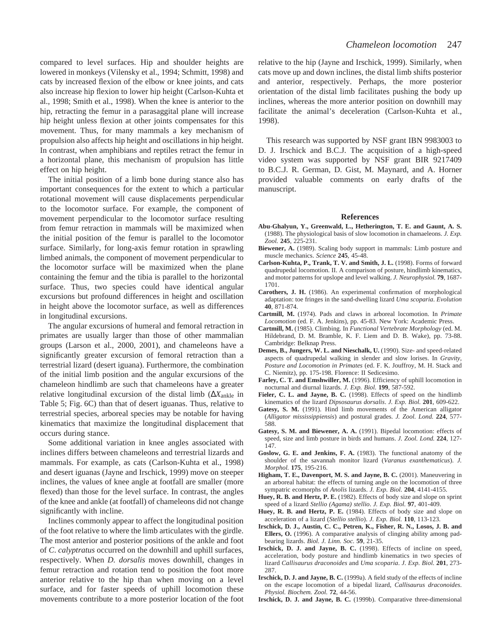compared to level surfaces. Hip and shoulder heights are lowered in monkeys (Vilensky et al., 1994; Schmitt, 1998) and cats by increased flexion of the elbow or knee joints, and cats also increase hip flexion to lower hip height (Carlson-Kuhta et al., 1998; Smith et al., 1998). When the knee is anterior to the hip, retracting the femur in a parasaggital plane will increase hip height unless flexion at other joints compensates for this movement. Thus, for many mammals a key mechanism of propulsion also affects hip height and oscillations in hip height. In contrast, when amphibians and reptiles retract the femur in a horizontal plane, this mechanism of propulsion has little effect on hip height.

The initial position of a limb bone during stance also has important consequences for the extent to which a particular rotational movement will cause displacements perpendicular to the locomotor surface. For example, the component of movement perpendicular to the locomotor surface resulting from femur retraction in mammals will be maximized when the initial position of the femur is parallel to the locomotor surface. Similarly, for long-axis femur rotation in sprawling limbed animals, the component of movement perpendicular to the locomotor surface will be maximized when the plane containing the femur and the tibia is parallel to the horizontal surface. Thus, two species could have identical angular excursions but profound differences in height and oscillation in height above the locomotor surface, as well as differences in longitudinal excursions.

The angular excursions of humeral and femoral retraction in primates are usually larger than those of other mammalian groups (Larson et al., 2000, 2001), and chameleons have a significantly greater excursion of femoral retraction than a terrestrial lizard (desert iguana). Furthermore, the combination of the initial limb position and the angular excursions of the chameleon hindlimb are such that chameleons have a greater relative longitudinal excursion of the distal limb (∆*X*ankle in Table 5; Fig. 6C) than that of desert iguanas. Thus, relative to terrestrial species, arboreal species may be notable for having kinematics that maximize the longitudinal displacement that occurs during stance.

Some additional variation in knee angles associated with inclines differs between chameleons and terrestrial lizards and mammals. For example, as cats (Carlson-Kuhta et al., 1998) and desert iguanas (Jayne and Irschick, 1999) move on steeper inclines, the values of knee angle at footfall are smaller (more flexed) than those for the level surface. In contrast, the angles of the knee and ankle (at footfall) of chameleons did not change significantly with incline.

Inclines commonly appear to affect the longitudinal position of the foot relative to where the limb articulates with the girdle. The most anterior and posterior positions of the ankle and foot of *C*. *calyptratus* occurred on the downhill and uphill surfaces, respectively. When *D. dorsalis* moves downhill, changes in femur retraction and rotation tend to position the foot more anterior relative to the hip than when moving on a level surface, and for faster speeds of uphill locomotion these movements contribute to a more posterior location of the foot

relative to the hip (Jayne and Irschick, 1999). Similarly, when cats move up and down inclines, the distal limb shifts posterior and anterior, respectively. Perhaps, the more posterior orientation of the distal limb facilitates pushing the body up inclines, whereas the more anterior position on downhill may facilitate the animal's deceleration (Carlson-Kuhta et al., 1998).

This research was supported by NSF grant IBN 9983003 to D. J. Irschick and B.C.J. The acquisition of a high-speed video system was supported by NSF grant BIR 9217409 to B.C.J. R. German, D. Gist, M. Maynard, and A. Horner provided valuable comments on early drafts of the manuscript.

### **References**

- **Abu-Ghalyun, Y., Greenwald, L., Hetherington, T. E. and Gaunt, A. S.** (1988). The physiological basis of slow locomotion in chamaeleons. *J. Exp. Zool.* **245**, 225-231.
- **Biewener, A.** (1989). Scaling body support in mammals: Limb posture and muscle mechanics. *Science* **245**, 45-48.
- **Carlson-Kuhta, P., Trank, T. V. and Smith, J. L.** (1998). Forms of forward quadrupedal locomotion. II. A comparison of posture, hindlimb kinematics, and motor patterns for upslope and level walking. *J. Neurophysiol.* **79**, 1687- 1701.
- **Carothers, J. H.** (1986). An experimental confirmation of morphological adaptation: toe fringes in the sand-dwelling lizard *Uma scoparia*. *Evolution* **40**, 871-874.
- **Cartmill, M.** (1974). Pads and claws in arboreal locomotion. In *Primate Locomotion* (ed. F. A. Jenkins), pp. 45-83. New York: Academic Press.
- **Cartmill, M.** (1985). Climbing. In *Functional Vertebrate Morphology* (ed. M. Hildebrand, D. M. Bramble, K. F. Liem and D. B. Wake), pp. 73-88. Cambridge: Belknap Press.
- **Demes, B., Jungers, W. L. and Nieschalk, U.** (1990). Size- and speed-related aspects of quadrupedal walking in slender and slow lorises. In *Gravity, Posture and Locomotion in Primates* (ed. F. K. Jouffroy, M. H. Stack and C. Niemitz), pp. 175-198. Florence: II Sedicesimo.
- **Farley, C. T. and Emshwiller, M.** (1996). Efficiency of uphill locomotion in nocturnal and diurnal lizards. *J. Exp. Biol.* **199**, 587-592.
- **Fieler, C. L. and Jayne, B. C.** (1998). Effects of speed on the hindlimb kinematics of the lizard *Dipsosaurus dorsalis*. *J. Exp. Biol.* **201**, 609-622.
- **Gatesy, S. M.** (1991). Hind limb movements of the American alligator (*Alligator mississippiensis*) and postural grades. *J. Zool. Lond.* **224**, 577- 588.
- **Gatesy, S. M. and Biewener, A. A.** (1991). Bipedal locomotion: effects of speed, size and limb posture in birds and humans. *J. Zool. Lond.* **224**, 127- 147.
- **Goslow, G. E. and Jenkins, F. A.** (1983). The functional anatomy of the shoulder of the savannah monitor lizard (*Varanus exanthematicus*). *J. Morphol.* **175**, 195-216.
- **Higham, T. E., Davenport, M. S. and Jayne, B. C.** (2001). Maneuvering in an arboreal habitat: the effects of turning angle on the locomotion of three sympatric ecomorphs of *Anolis* lizards. *J. Exp. Biol.* **204**, 4141-4155.
- **Huey, R. B. and Hertz, P. E.** (1982). Effects of body size and slope on sprint speed of a lizard *Stellio (Agama) stellio*. *J. Exp. Biol.* **97**, 401-409.
- **Huey, R. B. and Hertz, P. E.** (1984). Effects of body size and slope on acceleration of a lizard (*Stellio stellio*). *J. Exp. Biol.* **110**, 113-123.
- **Irschick, D. J., Austin, C. C., Petren, K., Fisher, R. N., Losos, J. B. and Ellers, O.** (1996). A comparative analysis of clinging ability among padbearing lizards. *Biol. J. Linn. Soc.* **59**, 21-35.
- **Irschick, D. J. and Jayne, B. C.** (1998). Effects of incline on speed, acceleration, body posture and hindlimb kinematics in two species of lizard *Callisaurus draconoides* and *Uma scoparia*. *J. Exp. Biol.* **201**, 273- 287.
- **Irschick, D. J. and Jayne, B. C.** (1999a). A field study of the effects of incline on the escape locomotion of a bipedal lizard, *Callisaurus draconoides*. *Physiol. Biochem. Zool.* **72**, 44-56.
- **Irschick, D. J. and Jayne, B. C.** (1999b). Comparative three-dimensional